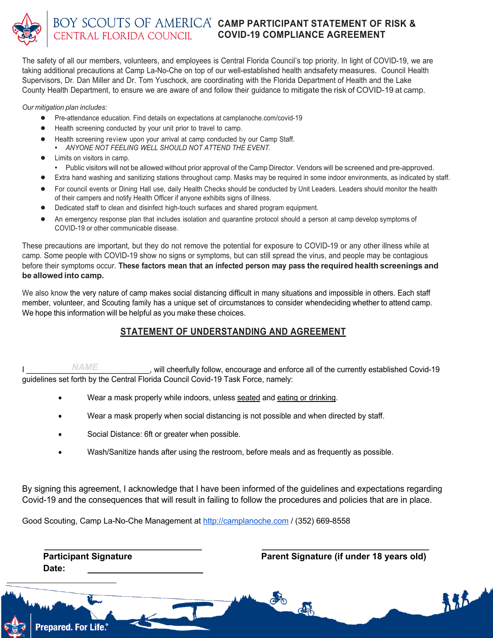

The safety of all our members, volunteers, and employees is Central Florida Council's top priority. In light of COVID-19, we are taking additional precautions at Camp La-No-Che on top of our well-established health andsafety measures. Council Health Supervisors, Dr. Dan Miller and Dr. Tom Yuschock, are coordinating with the Florida Department of Health and the Lake County Health Department, to ensure we are aware of and follow their guidance to mitigate the risk of COVID-19 at camp.

*Our mitigation plan includes:*

- Pre-attendance education. Find details on expectations at camplanoche.com/covid-19
- Health screening conducted by your unit prior to travel to camp.
- Health screening review upon your arrival at camp conducted by our Camp Staff. • *ANYONE NOT FEELING WELL SHOULD NOT ATTEND THE EVENT.*
- Limits on visitors in camp.
- Public visitors will not be allowed without prior approval of the Camp Director. Vendors will be screened and pre-approved.
- Extra hand washing and sanitizing stations throughout camp. Masks may be required in some indoor environments, as indicated by staff.
- For council events or Dining Hall use, daily Health Checks should be conducted by Unit Leaders. Leaders should monitor the health of their campers and notify Health Officer if anyone exhibits signs of illness.
- Dedicated staff to clean and disinfect high-touch surfaces and shared program equipment.
- An emergency response plan that includes isolation and quarantine protocol should a person at camp develop symptoms of COVID-19 or other communicable disease.

These precautions are important, but they do not remove the potential for exposure to COVID-19 or any other illness while at camp. Some people with COVID-19 show no signs or symptoms, but can still spread the virus, and people may be contagious before their symptoms occur. **These factors mean that an infected person may pass the required health screenings and be allowed into camp.**

We also know the very nature of camp makes social distancing difficult in many situations and impossible in others. Each staff member, volunteer, and Scouting family has a unique set of circumstances to consider whendeciding whether to attend camp. We hope this information will be helpful as you make these choices.

## **STATEMENT OF UNDERSTANDING AND AGREEMENT**

I  $NAM/E$  will cheerfully follow, encourage and enforce all of the currently established Covid-19 guidelines set forth by the Central Florida Council Covid-19 Task Force, namely: *NAME*

- Wear a mask properly while indoors, unless seated and eating or drinking.
- Wear a mask properly when social distancing is not possible and when directed by staff.
- Social Distance: 6ft or greater when possible.
- Wash/Sanitize hands after using the restroom, before meals and as frequently as possible.

By signing this agreement, I acknowledge that I have been informed of the guidelines and expectations regarding Covid-19 and the consequences that will result in failing to follow the procedures and policies that are in place.

Good Scouting, Camp La-No-Che Management at http://camplanoche.com / (352) 669-8558

**Date:**

**Participant Signature Parent Signature (if under 18 years old)**